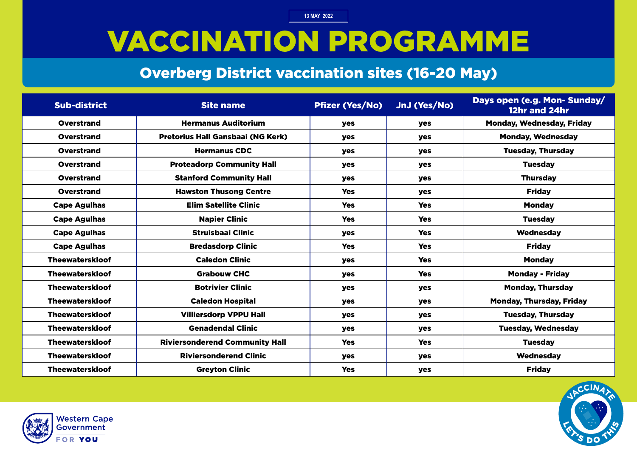### VACCINATION PROGRAMME

#### Overberg District vaccination sites (16-20 May)

| <b>Sub-district</b>    | <b>Site name</b>                         | <b>Pfizer (Yes/No)</b> | JnJ (Yes/No) | Days open (e.g. Mon-Sunday/<br>12hr and 24hr |
|------------------------|------------------------------------------|------------------------|--------------|----------------------------------------------|
| <b>Overstrand</b>      | <b>Hermanus Auditorium</b>               | <b>yes</b>             | yes          | <b>Monday, Wednesday, Friday</b>             |
| <b>Overstrand</b>      | <b>Pretorius Hall Gansbaai (NG Kerk)</b> | <b>yes</b>             | <b>yes</b>   | <b>Monday, Wednesday</b>                     |
| Overstrand             | <b>Hermanus CDC</b>                      | <b>yes</b>             | <b>yes</b>   | <b>Tuesday, Thursday</b>                     |
| <b>Overstrand</b>      | <b>Proteadorp Community Hall</b>         | yes                    | yes          | <b>Tuesday</b>                               |
| <b>Overstrand</b>      | <b>Stanford Community Hall</b>           | yes                    | yes          | <b>Thursday</b>                              |
| <b>Overstrand</b>      | <b>Hawston Thusong Centre</b>            | <b>Yes</b>             | yes          | <b>Friday</b>                                |
| <b>Cape Agulhas</b>    | <b>Elim Satellite Clinic</b>             | <b>Yes</b>             | <b>Yes</b>   | <b>Monday</b>                                |
| <b>Cape Agulhas</b>    | <b>Napier Clinic</b>                     | <b>Yes</b>             | <b>Yes</b>   | <b>Tuesday</b>                               |
| <b>Cape Agulhas</b>    | <b>Struisbaai Clinic</b>                 | yes                    | <b>Yes</b>   | Wednesday                                    |
| <b>Cape Agulhas</b>    | <b>Bredasdorp Clinic</b>                 | <b>Yes</b>             | <b>Yes</b>   | <b>Friday</b>                                |
| <b>Theewaterskloof</b> | <b>Caledon Clinic</b>                    | <b>yes</b>             | <b>Yes</b>   | <b>Monday</b>                                |
| <b>Theewaterskloof</b> | <b>Grabouw CHC</b>                       | <b>yes</b>             | <b>Yes</b>   | <b>Monday - Friday</b>                       |
| <b>Theewaterskloof</b> | <b>Botrivier Clinic</b>                  | yes                    | <b>yes</b>   | <b>Monday, Thursday</b>                      |
| <b>Theewaterskloof</b> | <b>Caledon Hospital</b>                  | yes                    | <b>yes</b>   | <b>Monday, Thursday, Friday</b>              |
| <b>Theewaterskloof</b> | <b>Villiersdorp VPPU Hall</b>            | <b>yes</b>             | <b>yes</b>   | <b>Tuesday, Thursday</b>                     |
| <b>Theewaterskloof</b> | <b>Genadendal Clinic</b>                 | yes                    | yes          | <b>Tuesday, Wednesday</b>                    |
| <b>Theewaterskloof</b> | <b>Riviersonderend Community Hall</b>    | <b>Yes</b>             | <b>Yes</b>   | <b>Tuesday</b>                               |
| <b>Theewaterskloof</b> | <b>Riviersonderend Clinic</b>            | yes                    | yes          | Wednesday                                    |
| <b>Theewaterskloof</b> | <b>Greyton Clinic</b>                    | <b>Yes</b>             | <b>yes</b>   | <b>Friday</b>                                |



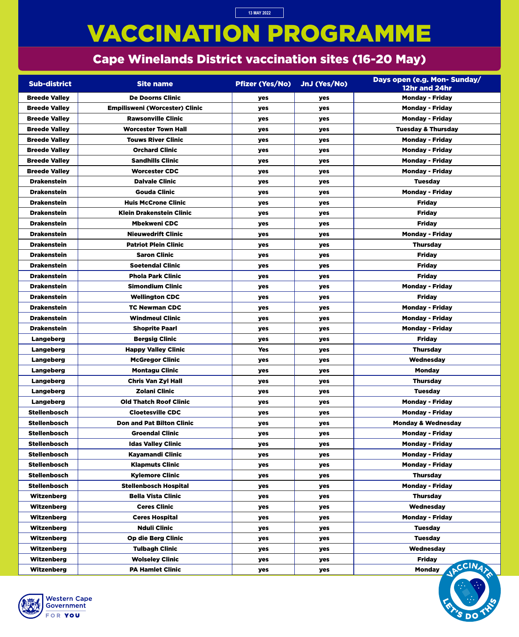# VACCINATION PROGRAMME

### Cape Winelands District vaccination sites (16-20 May)

**13 MAY 2022**

| <b>Sub-district</b>  | <b>Site name</b>                      | <b>Pfizer (Yes/No)</b> | JnJ (Yes/No) | Days open (e.g. Mon- Sunday/<br>12hr and 24hr |
|----------------------|---------------------------------------|------------------------|--------------|-----------------------------------------------|
| <b>Breede Valley</b> | <b>De Doorns Clinic</b>               | yes                    | yes          | <b>Monday - Friday</b>                        |
| <b>Breede Valley</b> | <b>Empilisweni (Worcester) Clinic</b> | <b>yes</b>             | <b>yes</b>   | <b>Monday - Friday</b>                        |
| <b>Breede Valley</b> | <b>Rawsonville Clinic</b>             | yes                    | yes          | <b>Monday - Friday</b>                        |
| <b>Breede Valley</b> | <b>Worcester Town Hall</b>            | <b>yes</b>             | yes          | <b>Tuesday &amp; Thursday</b>                 |
| <b>Breede Valley</b> | <b>Touws River Clinic</b>             | yes                    | <b>yes</b>   | <b>Monday - Friday</b>                        |
| <b>Breede Valley</b> | <b>Orchard Clinic</b>                 | <b>yes</b>             | yes          | <b>Monday - Friday</b>                        |
| <b>Breede Valley</b> | <b>Sandhills Clinic</b>               | <b>yes</b>             | yes          | <b>Monday - Friday</b>                        |
| <b>Breede Valley</b> | <b>Worcester CDC</b>                  | yes                    | yes          | <b>Monday - Friday</b>                        |
| <b>Drakenstein</b>   | <b>Dalvale Clinic</b>                 | yes                    | <b>yes</b>   | <b>Tuesday</b>                                |
| <b>Drakenstein</b>   | <b>Gouda Clinic</b>                   | yes                    | yes          | <b>Monday - Friday</b>                        |
| <b>Drakenstein</b>   | <b>Huis McCrone Clinic</b>            | <b>yes</b>             | yes          | <b>Friday</b>                                 |
| <b>Drakenstein</b>   | <b>Klein Drakenstein Clinic</b>       | <b>yes</b>             | yes          | <b>Friday</b>                                 |
| <b>Drakenstein</b>   | <b>Mbekweni CDC</b>                   | yes                    | yes          | <b>Friday</b>                                 |
| <b>Drakenstein</b>   | <b>Nieuwedrift Clinic</b>             | yes                    | yes          | <b>Monday - Friday</b>                        |
| <b>Drakenstein</b>   | <b>Patriot Plein Clinic</b>           | yes                    | yes          | <b>Thursday</b>                               |
| <b>Drakenstein</b>   | <b>Saron Clinic</b>                   | yes                    | <b>yes</b>   | <b>Friday</b>                                 |
| <b>Drakenstein</b>   | <b>Soetendal Clinic</b>               | yes                    | yes          | <b>Friday</b>                                 |
| <b>Drakenstein</b>   | <b>Phola Park Clinic</b>              | yes                    | yes          | <b>Friday</b>                                 |
| <b>Drakenstein</b>   | <b>Simondium Clinic</b>               | <b>yes</b>             | yes          | <b>Monday - Friday</b>                        |
| <b>Drakenstein</b>   | <b>Wellington CDC</b>                 | yes                    | yes          | <b>Friday</b>                                 |
| <b>Drakenstein</b>   | <b>TC Newman CDC</b>                  | yes                    | yes          | <b>Monday - Friday</b>                        |
| <b>Drakenstein</b>   | <b>Windmeul Clinic</b>                | yes                    | yes          | <b>Monday - Friday</b>                        |
| <b>Drakenstein</b>   | <b>Shoprite Paarl</b>                 | yes                    | yes          | <b>Monday - Friday</b>                        |
| <b>Langeberg</b>     | <b>Bergsig Clinic</b>                 | yes                    | yes          | <b>Friday</b>                                 |
| <b>Langeberg</b>     | <b>Happy Valley Clinic</b>            | <b>Yes</b>             | yes          | <b>Thursday</b>                               |
| <b>Langeberg</b>     | <b>McGregor Clinic</b>                | yes                    | yes          | Wednesday                                     |
| <b>Langeberg</b>     | <b>Montagu Clinic</b>                 | <b>yes</b>             | yes          | <b>Monday</b>                                 |
| <b>Langeberg</b>     | <b>Chris Van Zyl Hall</b>             | yes                    | yes          | <b>Thursday</b>                               |
| Langeberg            | <b>Zolani Clinic</b>                  | yes                    | yes          | <b>Tuesday</b>                                |
| <b>Langeberg</b>     | <b>Old Thatch Roof Clinic</b>         | yes                    | yes          | <b>Monday - Friday</b>                        |
| <b>Stellenbosch</b>  | <b>Cloetesville CDC</b>               | yes                    | yes          | <b>Monday - Friday</b>                        |
| <b>Stellenbosch</b>  | <b>Don and Pat Bilton Clinic</b>      | yes                    | yes          | <b>Monday &amp; Wednesday</b>                 |
| <b>Stellenbosch</b>  | <b>Groendal Clinic</b>                | yes                    | yes          | <b>Monday - Friday</b>                        |
| <b>Stellenbosch</b>  | <b>Idas Valley Clinic</b>             | yes                    | yes          | <b>Monday - Friday</b>                        |
| <b>Stellenbosch</b>  | <b>Kayamandi Clinic</b>               | yes                    | yes          | <b>Monday - Friday</b>                        |
| <b>Stellenbosch</b>  | <b>Klapmuts Clinic</b>                | yes                    | yes          | <b>Monday - Friday</b>                        |
| <b>Stellenbosch</b>  | <b>Kylemore Clinic</b>                | yes                    | yes          | <b>Thursday</b>                               |
| <b>Stellenbosch</b>  | <b>Stellenbosch Hospital</b>          | yes                    | yes          | <b>Monday - Friday</b>                        |
| <b>Witzenberg</b>    | <b>Bella Vista Clinic</b>             | <b>yes</b>             | yes          | <b>Thursday</b>                               |
| <b>Witzenberg</b>    | <b>Ceres Clinic</b>                   | yes                    | yes          | Wednesday                                     |
| <b>Witzenberg</b>    | <b>Ceres Hospital</b>                 | yes                    | yes          | <b>Monday - Friday</b>                        |
| Witzenberg           | <b>Nduli Clinic</b>                   | yes                    | yes          | <b>Tuesday</b>                                |
| <b>Witzenberg</b>    | <b>Op die Berg Clinic</b>             | yes                    | yes          | <b>Tuesday</b>                                |
| <b>Witzenberg</b>    | <b>Tulbagh Clinic</b>                 | yes                    | yes          | Wednesday                                     |
| <b>Witzenberg</b>    | <b>Wolseley Clinic</b>                | yes                    | yes          | <b>Friday</b>                                 |
| Witzenberg           | <b>PA Hamlet Clinic</b>               | yes                    | yes          | CCIN4,<br><b>Monday</b>                       |



=

DC

=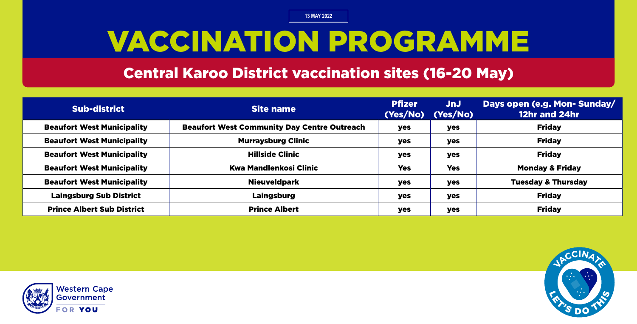# VACCINATION PROGRAMME

#### Central Karoo District vaccination sites (16-20 May)

| <b>Sub-district</b>               | <b>Site name</b>                                   | <b>Pfizer</b><br>(Yes/No) | JnJ<br>(Yes/No) | Days open (e.g. Mon- Sunday/<br>12hr and 24hr |
|-----------------------------------|----------------------------------------------------|---------------------------|-----------------|-----------------------------------------------|
| <b>Beaufort West Municipality</b> | <b>Beaufort West Community Day Centre Outreach</b> | yes                       | yes             | <b>Friday</b>                                 |
| <b>Beaufort West Municipality</b> | <b>Murraysburg Clinic</b>                          | yes                       | yes             | <b>Friday</b>                                 |
| <b>Beaufort West Municipality</b> | <b>Hillside Clinic</b>                             | yes                       | yes             | <b>Friday</b>                                 |
| <b>Beaufort West Municipality</b> | <b>Kwa Mandlenkosi Clinic</b>                      | <b>Yes</b>                | <b>Yes</b>      | <b>Monday &amp; Friday</b>                    |
| <b>Beaufort West Municipality</b> | <b>Nieuveldpark</b>                                | yes                       | yes             | <b>Tuesday &amp; Thursday</b>                 |
| <b>Laingsburg Sub District</b>    | Laingsburg                                         | yes                       | yes             | <b>Friday</b>                                 |
| <b>Prince Albert Sub District</b> | <b>Prince Albert</b>                               | yes                       | yes             | <b>Friday</b>                                 |



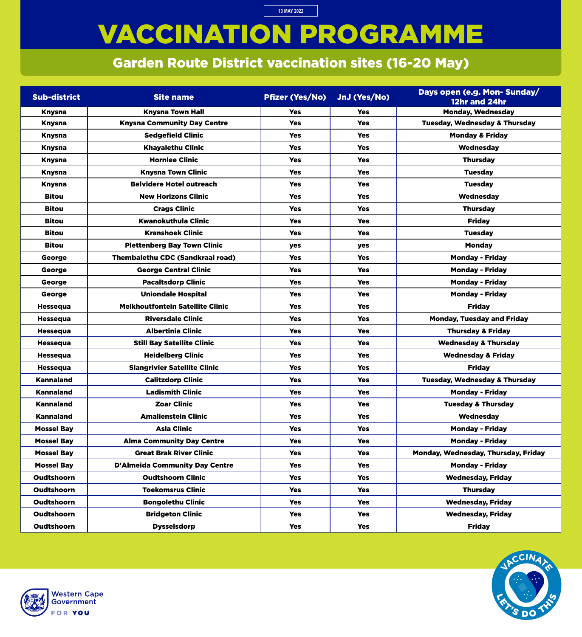# VACCINATION PROGRAMME

**13 MAY 2022**

### Garden Route District vaccination sites (16-20 May)

| <b>Sub-district</b> | <b>Site name</b>                        | <b>Pfizer (Yes/No)</b> | JnJ (Yes/No) | Days open (e.g. Mon- Sunday/<br>12hr and 24hr |
|---------------------|-----------------------------------------|------------------------|--------------|-----------------------------------------------|
| <b>Knysna</b>       | <b>Knysna Town Hall</b>                 | <b>Yes</b>             | <b>Yes</b>   | <b>Monday, Wednesday</b>                      |
| <b>Knysna</b>       | <b>Knysna Community Day Centre</b>      | <b>Yes</b>             | <b>Yes</b>   | <b>Tuesday, Wednesday &amp; Thursday</b>      |
| <b>Knysna</b>       | <b>Sedgefield Clinic</b>                | <b>Yes</b>             | <b>Yes</b>   | <b>Monday &amp; Friday</b>                    |
| <b>Knysna</b>       | <b>Khayalethu Clinic</b>                | <b>Yes</b>             | <b>Yes</b>   | Wednesday                                     |
| <b>Knysna</b>       | <b>Hornlee Clinic</b>                   | <b>Yes</b>             | <b>Yes</b>   | <b>Thursday</b>                               |
| <b>Knysna</b>       | <b>Knysna Town Clinic</b>               | <b>Yes</b>             | <b>Yes</b>   | <b>Tuesday</b>                                |
| <b>Knysna</b>       | <b>Belvidere Hotel outreach</b>         | <b>Yes</b>             | <b>Yes</b>   | <b>Tuesday</b>                                |
| <b>Bitou</b>        | <b>New Horizons Clinic</b>              | <b>Yes</b>             | <b>Yes</b>   | Wednesday                                     |
| <b>Bitou</b>        | <b>Crags Clinic</b>                     | <b>Yes</b>             | <b>Yes</b>   | <b>Thursday</b>                               |
| <b>Bitou</b>        | <b>Kwanokuthula Clinic</b>              | <b>Yes</b>             | <b>Yes</b>   | <b>Friday</b>                                 |
| <b>Bitou</b>        | <b>Kranshoek Clinic</b>                 | <b>Yes</b>             | <b>Yes</b>   | <b>Tuesday</b>                                |
| <b>Bitou</b>        | <b>Plettenberg Bay Town Clinic</b>      | <b>yes</b>             | yes          | <b>Monday</b>                                 |
| George              | <b>Thembalethu CDC (Sandkraal road)</b> | <b>Yes</b>             | <b>Yes</b>   | <b>Monday - Friday</b>                        |
| George              | <b>George Central Clinic</b>            | <b>Yes</b>             | <b>Yes</b>   | <b>Monday - Friday</b>                        |
| George              | <b>Pacaltsdorp Clinic</b>               | <b>Yes</b>             | <b>Yes</b>   | <b>Monday - Friday</b>                        |
| George              | <b>Uniondale Hospital</b>               | <b>Yes</b>             | <b>Yes</b>   | <b>Monday - Friday</b>                        |
| <b>Hessequa</b>     | <b>Melkhoutfontein Satellite Clinic</b> | <b>Yes</b>             | <b>Yes</b>   | <b>Friday</b>                                 |
| <b>Hessequa</b>     | <b>Riversdale Clinic</b>                | <b>Yes</b>             | <b>Yes</b>   | <b>Monday, Tuesday and Friday</b>             |
| <b>Hessequa</b>     | <b>Albertinia Clinic</b>                | <b>Yes</b>             | <b>Yes</b>   | <b>Thursday &amp; Friday</b>                  |
| <b>Hessequa</b>     | <b>Still Bay Satellite Clinic</b>       | <b>Yes</b>             | <b>Yes</b>   | <b>Wednesday &amp; Thursday</b>               |
| <b>Hessequa</b>     | <b>Heidelberg Clinic</b>                | <b>Yes</b>             | <b>Yes</b>   | <b>Wednesday &amp; Friday</b>                 |
| <b>Hessequa</b>     | <b>Slangrivier Satellite Clinic</b>     | <b>Yes</b>             | <b>Yes</b>   | <b>Friday</b>                                 |
| <b>Kannaland</b>    | <b>Calitzdorp Clinic</b>                | <b>Yes</b>             | <b>Yes</b>   | <b>Tuesday, Wednesday &amp; Thursday</b>      |
| <b>Kannaland</b>    | <b>Ladismith Clinic</b>                 | <b>Yes</b>             | <b>Yes</b>   | <b>Monday - Friday</b>                        |
| <b>Kannaland</b>    | <b>Zoar Clinic</b>                      | <b>Yes</b>             | <b>Yes</b>   | <b>Tuesday &amp; Thursday</b>                 |
| <b>Kannaland</b>    | <b>Amalienstein Clinic</b>              | <b>Yes</b>             | <b>Yes</b>   | Wednesday                                     |
| <b>Mossel Bay</b>   | <b>Asla Clinic</b>                      | <b>Yes</b>             | <b>Yes</b>   | <b>Monday - Friday</b>                        |
| <b>Mossel Bay</b>   | <b>Alma Community Day Centre</b>        | <b>Yes</b>             | <b>Yes</b>   | <b>Monday - Friday</b>                        |
| <b>Mossel Bay</b>   | <b>Great Brak River Clinic</b>          | <b>Yes</b>             | <b>Yes</b>   | Monday, Wednesday, Thursday, Friday           |
| <b>Mossel Bay</b>   | <b>D'Almeida Community Day Centre</b>   | <b>Yes</b>             | <b>Yes</b>   | <b>Monday - Friday</b>                        |
| <b>Oudtshoorn</b>   | <b>Oudtshoorn Clinic</b>                | <b>Yes</b>             | <b>Yes</b>   | <b>Wednesday, Friday</b>                      |
| <b>Oudtshoorn</b>   | <b>Toekomsrus Clinic</b>                | <b>Yes</b>             | <b>Yes</b>   | <b>Thursday</b>                               |
| <b>Oudtshoorn</b>   | <b>Bongolethu Clinic</b>                | <b>Yes</b>             | <b>Yes</b>   | <b>Wednesday, Friday</b>                      |
| <b>Oudtshoorn</b>   | <b>Bridgeton Clinic</b>                 | <b>Yes</b>             | <b>Yes</b>   | <b>Wednesday, Friday</b>                      |
| Oudtshoorn          | <b>Dysselsdorp</b>                      | <b>Yes</b>             | <b>Yes</b>   | <b>Friday</b>                                 |



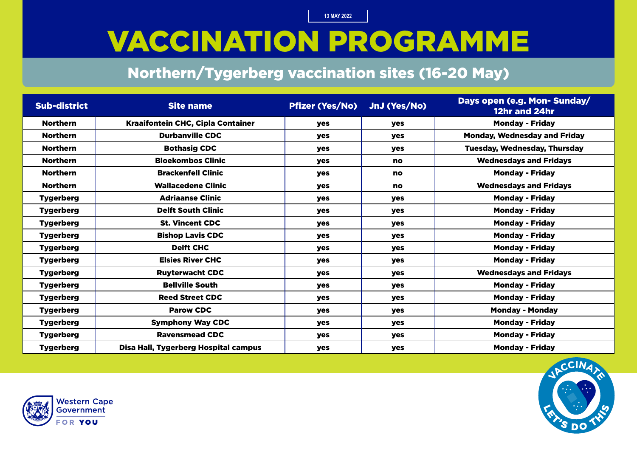## VACCINATION PROGRAMME

#### Northern/Tygerberg vaccination sites (16-20 May)

| <b>Sub-district</b> | <b>Site name</b>                         | <b>Pfizer (Yes/No)</b> | JnJ (Yes/No) | Days open (e.g. Mon- Sunday/<br>12hr and 24hr |
|---------------------|------------------------------------------|------------------------|--------------|-----------------------------------------------|
| <b>Northern</b>     | <b>Kraaifontein CHC, Cipla Container</b> | <b>yes</b>             | yes          | <b>Monday - Friday</b>                        |
| <b>Northern</b>     | <b>Durbanville CDC</b>                   | <b>yes</b>             | <b>yes</b>   | <b>Monday, Wednesday and Friday</b>           |
| <b>Northern</b>     | <b>Bothasig CDC</b>                      | <b>yes</b>             | <b>yes</b>   | <b>Tuesday, Wednesday, Thursday</b>           |
| <b>Northern</b>     | <b>Bloekombos Clinic</b>                 | <b>yes</b>             | no           | <b>Wednesdays and Fridays</b>                 |
| <b>Northern</b>     | <b>Brackenfell Clinic</b>                | <b>yes</b>             | no           | <b>Monday - Friday</b>                        |
| <b>Northern</b>     | <b>Wallacedene Clinic</b>                | <b>yes</b>             | no           | <b>Wednesdays and Fridays</b>                 |
| <b>Tygerberg</b>    | <b>Adriaanse Clinic</b>                  | <b>yes</b>             | yes          | <b>Monday - Friday</b>                        |
| <b>Tygerberg</b>    | <b>Delft South Clinic</b>                | <b>yes</b>             | yes          | <b>Monday - Friday</b>                        |
| <b>Tygerberg</b>    | <b>St. Vincent CDC</b>                   | <b>yes</b>             | yes          | <b>Monday - Friday</b>                        |
| <b>Tygerberg</b>    | <b>Bishop Lavis CDC</b>                  | <b>yes</b>             | <b>yes</b>   | <b>Monday - Friday</b>                        |
| <b>Tygerberg</b>    | <b>Delft CHC</b>                         | <b>yes</b>             | <b>yes</b>   | <b>Monday - Friday</b>                        |
| <b>Tygerberg</b>    | <b>Elsies River CHC</b>                  | yes                    | yes          | <b>Monday - Friday</b>                        |
| <b>Tygerberg</b>    | <b>Ruyterwacht CDC</b>                   | <b>yes</b>             | <b>yes</b>   | <b>Wednesdays and Fridays</b>                 |
| <b>Tygerberg</b>    | <b>Bellville South</b>                   | <b>yes</b>             | yes          | <b>Monday - Friday</b>                        |
| <b>Tygerberg</b>    | <b>Reed Street CDC</b>                   | yes                    | yes          | <b>Monday - Friday</b>                        |
| <b>Tygerberg</b>    | <b>Parow CDC</b>                         | <b>yes</b>             | yes          | <b>Monday - Monday</b>                        |
| <b>Tygerberg</b>    | <b>Symphony Way CDC</b>                  | yes                    | yes          | <b>Monday - Friday</b>                        |
| <b>Tygerberg</b>    | <b>Ravensmead CDC</b>                    | <b>yes</b>             | yes          | <b>Monday - Friday</b>                        |
| <b>Tygerberg</b>    | Disa Hall, Tygerberg Hospital campus     | yes                    | yes          | <b>Monday - Friday</b>                        |



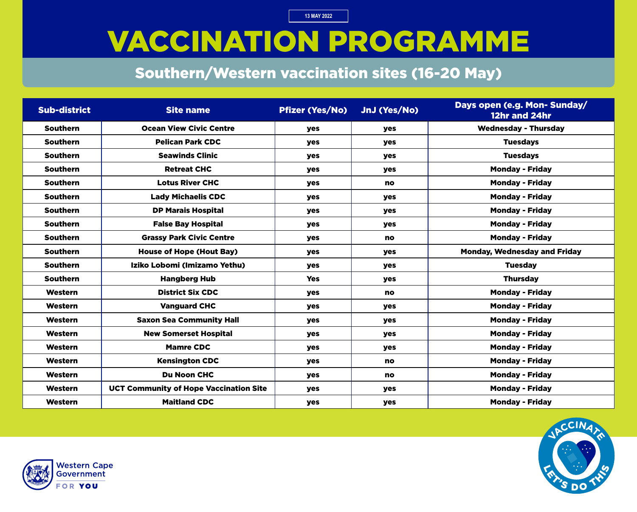# VACCINATION PROGRAMME

### Southern/Western vaccination sites (16-20 May)

| <b>Sub-district</b> | <b>Site name</b>                              | <b>Pfizer (Yes/No)</b> | JnJ (Yes/No) | Days open (e.g. Mon- Sunday/<br>12hr and 24hr |
|---------------------|-----------------------------------------------|------------------------|--------------|-----------------------------------------------|
| <b>Southern</b>     | <b>Ocean View Civic Centre</b>                | yes                    | yes          | <b>Wednesday - Thursday</b>                   |
| <b>Southern</b>     | <b>Pelican Park CDC</b>                       | yes                    | <b>yes</b>   | <b>Tuesdays</b>                               |
| <b>Southern</b>     | <b>Seawinds Clinic</b>                        | yes                    | yes          | <b>Tuesdays</b>                               |
| <b>Southern</b>     | <b>Retreat CHC</b>                            | yes                    | yes          | <b>Monday - Friday</b>                        |
| <b>Southern</b>     | <b>Lotus River CHC</b>                        | yes                    | <b>no</b>    | <b>Monday - Friday</b>                        |
| <b>Southern</b>     | <b>Lady Michaelis CDC</b>                     | yes                    | <b>yes</b>   | <b>Monday - Friday</b>                        |
| <b>Southern</b>     | <b>DP Marais Hospital</b>                     | yes                    | <b>yes</b>   | <b>Monday - Friday</b>                        |
| <b>Southern</b>     | <b>False Bay Hospital</b>                     | <b>yes</b>             | <b>yes</b>   | <b>Monday - Friday</b>                        |
| <b>Southern</b>     | <b>Grassy Park Civic Centre</b>               | yes                    | <b>no</b>    | <b>Monday - Friday</b>                        |
| <b>Southern</b>     | <b>House of Hope (Hout Bay)</b>               | yes                    | <b>yes</b>   | <b>Monday, Wednesday and Friday</b>           |
| <b>Southern</b>     | Iziko Lobomi (Imizamo Yethu)                  | <b>yes</b>             | <b>yes</b>   | <b>Tuesday</b>                                |
| <b>Southern</b>     | <b>Hangberg Hub</b>                           | <b>Yes</b>             | yes          | <b>Thursday</b>                               |
| Western             | <b>District Six CDC</b>                       | yes                    | <b>no</b>    | <b>Monday - Friday</b>                        |
| Western             | <b>Vanguard CHC</b>                           | <b>yes</b>             | <b>yes</b>   | <b>Monday - Friday</b>                        |
| Western             | <b>Saxon Sea Community Hall</b>               | <b>yes</b>             | yes          | <b>Monday - Friday</b>                        |
| <b>Western</b>      | <b>New Somerset Hospital</b>                  | yes                    | yes          | <b>Monday - Friday</b>                        |
| Western             | <b>Mamre CDC</b>                              | yes                    | yes          | <b>Monday - Friday</b>                        |
| Western             | <b>Kensington CDC</b>                         | yes                    | <b>no</b>    | <b>Monday - Friday</b>                        |
| <b>Western</b>      | <b>Du Noon CHC</b>                            | yes                    | <b>no</b>    | <b>Monday - Friday</b>                        |
| Western             | <b>UCT Community of Hope Vaccination Site</b> | yes                    | yes          | <b>Monday - Friday</b>                        |
| Western             | <b>Maitland CDC</b>                           | yes                    | yes          | <b>Monday - Friday</b>                        |



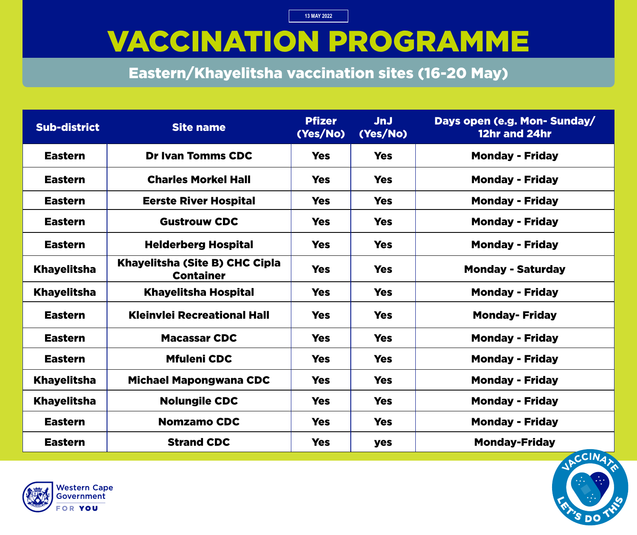### VACCINATION PROGRAMME

Eastern/Khayelitsha vaccination sites (16-20 May)

| <b>Sub-district</b> | <b>Site name</b>                                   | <b>Pfizer</b><br>(Yes/No) | <b>JnJ</b><br>(Yes/No) | Days open (e.g. Mon- Sunday/<br>12hr and 24hr |
|---------------------|----------------------------------------------------|---------------------------|------------------------|-----------------------------------------------|
| <b>Eastern</b>      | <b>Dr Ivan Tomms CDC</b>                           | <b>Yes</b>                | <b>Yes</b>             | <b>Monday - Friday</b>                        |
| <b>Eastern</b>      | <b>Charles Morkel Hall</b>                         | <b>Yes</b>                | <b>Yes</b>             | <b>Monday - Friday</b>                        |
| <b>Eastern</b>      | <b>Eerste River Hospital</b>                       | <b>Yes</b>                | <b>Yes</b>             | <b>Monday - Friday</b>                        |
| <b>Eastern</b>      | <b>Gustrouw CDC</b>                                | <b>Yes</b>                | <b>Yes</b>             | <b>Monday - Friday</b>                        |
| <b>Eastern</b>      | <b>Helderberg Hospital</b>                         | <b>Yes</b>                | <b>Yes</b>             | <b>Monday - Friday</b>                        |
| <b>Khayelitsha</b>  | Khayelitsha (Site B) CHC Cipla<br><b>Container</b> | <b>Yes</b>                | <b>Yes</b>             | <b>Monday - Saturday</b>                      |
| <b>Khayelitsha</b>  | <b>Khayelitsha Hospital</b>                        | <b>Yes</b>                | <b>Yes</b>             | <b>Monday - Friday</b>                        |
| <b>Eastern</b>      | <b>Kleinvlei Recreational Hall</b>                 | <b>Yes</b>                | <b>Yes</b>             | <b>Monday- Friday</b>                         |
| <b>Eastern</b>      | <b>Macassar CDC</b>                                | <b>Yes</b>                | <b>Yes</b>             | <b>Monday - Friday</b>                        |
| <b>Eastern</b>      | <b>Mfuleni CDC</b>                                 | <b>Yes</b>                | <b>Yes</b>             | <b>Monday - Friday</b>                        |
| <b>Khayelitsha</b>  | <b>Michael Mapongwana CDC</b>                      | <b>Yes</b>                | <b>Yes</b>             | <b>Monday - Friday</b>                        |
| <b>Khayelitsha</b>  | <b>Nolungile CDC</b>                               | <b>Yes</b>                | <b>Yes</b>             | <b>Monday - Friday</b>                        |
| <b>Eastern</b>      | <b>Nomzamo CDC</b>                                 | <b>Yes</b>                | <b>Yes</b>             | <b>Monday - Friday</b>                        |
| <b>Eastern</b>      | <b>Strand CDC</b>                                  | <b>Yes</b>                | yes                    | <b>Monday-Friday</b>                          |



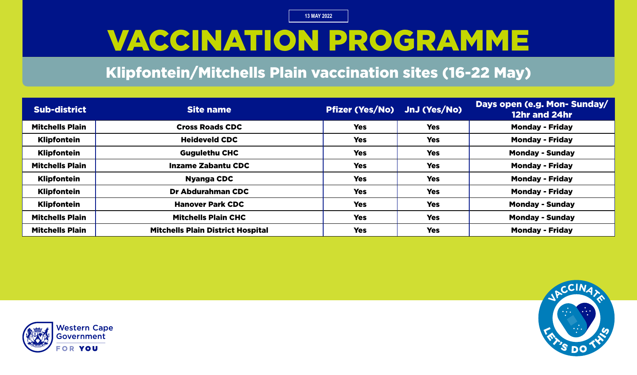# VACCINATION PROGRAMME

#### Klipfontein/Mitchells Plain vaccination sites (16-22 May)

| <b>Sub-district</b>    | Site name                                | Pfizer (Yes/No) JnJ (Yes/No) |            | Days open (e.g. Mon-Sunday/<br>12hr and 24hr |
|------------------------|------------------------------------------|------------------------------|------------|----------------------------------------------|
| <b>Mitchells Plain</b> | <b>Cross Roads CDC</b>                   | <b>Yes</b>                   | <b>Yes</b> | <b>Monday - Friday</b>                       |
| <b>Klipfontein</b>     | <b>Heideveld CDC</b>                     | <b>Yes</b>                   | <b>Yes</b> | <b>Monday - Friday</b>                       |
| <b>Klipfontein</b>     | <b>Gugulethu CHC</b>                     | <b>Yes</b>                   | <b>Yes</b> | <b>Monday - Sunday</b>                       |
| <b>Mitchells Plain</b> | <b>Inzame Zabantu CDC</b>                | <b>Yes</b>                   | <b>Yes</b> | <b>Monday - Friday</b>                       |
| <b>Klipfontein</b>     | <b>Nyanga CDC</b>                        | <b>Yes</b>                   | <b>Yes</b> | <b>Monday - Friday</b>                       |
| <b>Klipfontein</b>     | Dr Abdurahman CDC                        | <b>Yes</b>                   | <b>Yes</b> | <b>Monday - Friday</b>                       |
| <b>Klipfontein</b>     | <b>Hanover Park CDC</b>                  | <b>Yes</b>                   | <b>Yes</b> | <b>Monday - Sunday</b>                       |
| <b>Mitchells Plain</b> | <b>Mitchells Plain CHC</b>               | <b>Yes</b>                   | <b>Yes</b> | <b>Monday - Sunday</b>                       |
| <b>Mitchells Plain</b> | <b>Mitchells Plain District Hospital</b> | <b>Yes</b>                   | <b>Yes</b> | <b>Monday - Friday</b>                       |